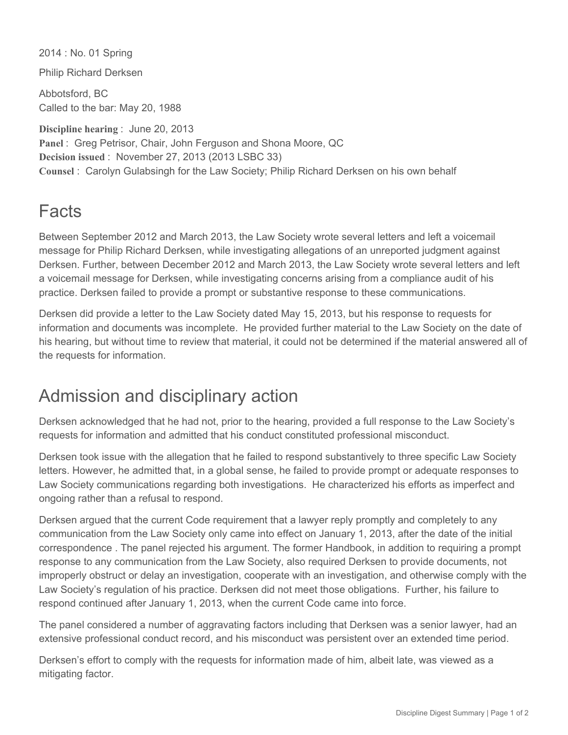2014 : No. 01 Spring Philip Richard Derksen Abbotsford, BC Called to the bar: May 20, 1988 **Discipline hearing** : June 20, 2013 **Panel** : Greg Petrisor, Chair, John Ferguson and Shona Moore, QC **Decision issued** : November 27, 2013 (2013 LSBC 33)

**Counsel** : Carolyn Gulabsingh for the Law Society; Philip Richard Derksen on his own behalf

## **Facts**

Between September 2012 and March 2013, the Law Society wrote several letters and left a voicemail message for Philip Richard Derksen, while investigating allegations of an unreported judgment against Derksen. Further, between December 2012 and March 2013, the Law Society wrote several letters and left a voicemail message for Derksen, while investigating concerns arising from a compliance audit of his practice. Derksen failed to provide a prompt or substantive response to these communications.

Derksen did provide a letter to the Law Society dated May 15, 2013, but his response to requests for information and documents was incomplete. He provided further material to the Law Society on the date of his hearing, but without time to review that material, it could not be determined if the material answered all of the requests for information.

## Admission and disciplinary action

Derksen acknowledged that he had not, prior to the hearing, provided a full response to the Law Society's requests for information and admitted that his conduct constituted professional misconduct.

Derksen took issue with the allegation that he failed to respond substantively to three specific Law Society letters. However, he admitted that, in a global sense, he failed to provide prompt or adequate responses to Law Society communications regarding both investigations. He characterized his efforts as imperfect and ongoing rather than a refusal to respond.

Derksen argued that the current Code requirement that a lawyer reply promptly and completely to any communication from the Law Society only came into effect on January 1, 2013, after the date of the initial correspondence . The panel rejected his argument. The former Handbook, in addition to requiring a prompt response to any communication from the Law Society, also required Derksen to provide documents, not improperly obstruct or delay an investigation, cooperate with an investigation, and otherwise comply with the Law Society's regulation of his practice. Derksen did not meet those obligations. Further, his failure to respond continued after January 1, 2013, when the current Code came into force.

The panel considered a number of aggravating factors including that Derksen was a senior lawyer, had an extensive professional conduct record, and his misconduct was persistent over an extended time period.

Derksen's effort to comply with the requests for information made of him, albeit late, was viewed as a mitigating factor.